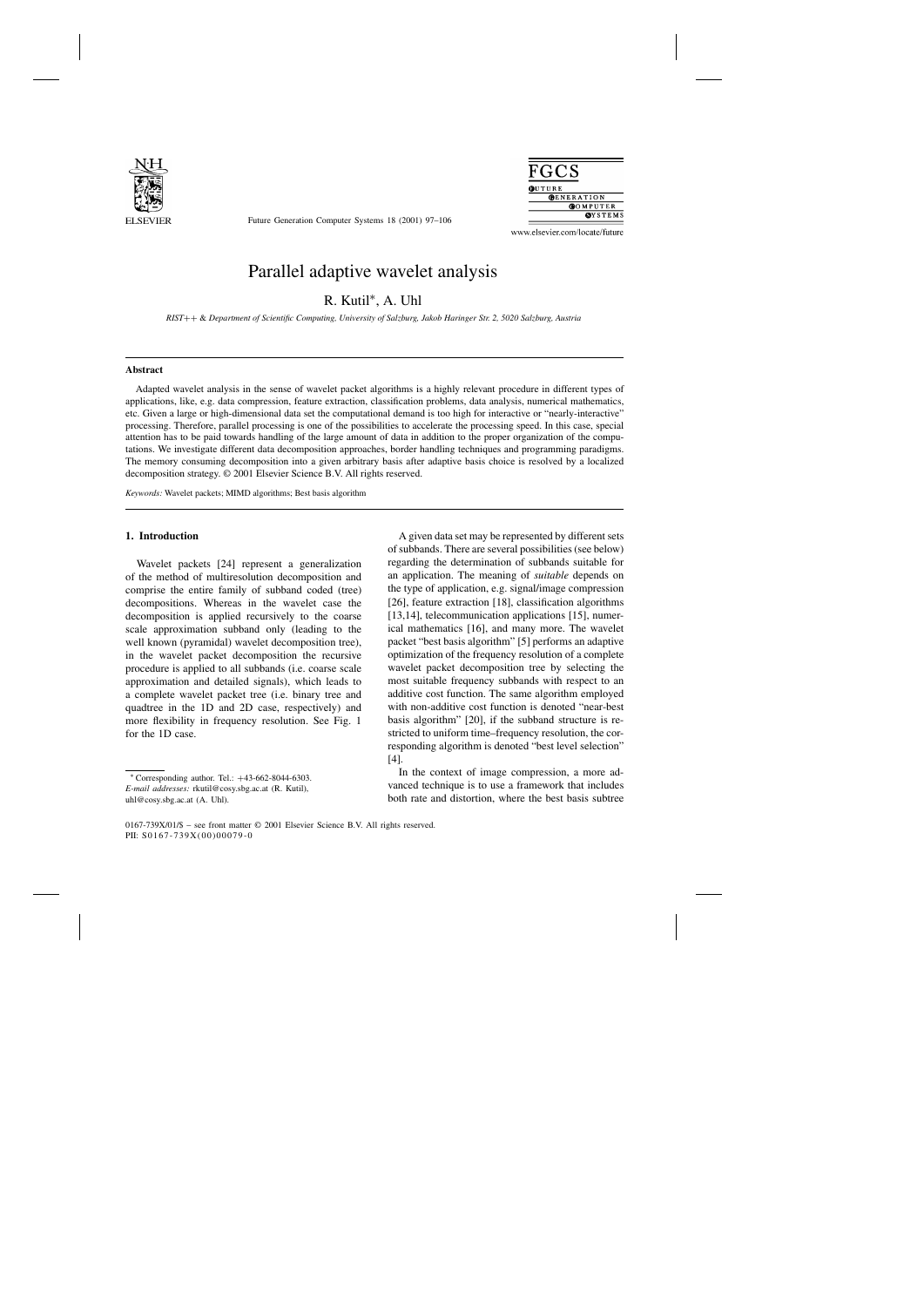

Future Generation Computer Systems 18 (2001) 97–106



www.elsevier.com/locate/future

# Parallel adaptive wavelet analysis

R. Kutil∗, A. Uhl

*RIST*++ & *Department of Scientific Computing, University of Salzburg, Jakob Haringer Str. 2, 5020 Salzburg, Austria*

#### **Abstract**

Adapted wavelet analysis in the sense of wavelet packet algorithms is a highly relevant procedure in different types of applications, like, e.g. data compression, feature extraction, classification problems, data analysis, numerical mathematics, etc. Given a large or high-dimensional data set the computational demand is too high for interactive or "nearly-interactive" processing. Therefore, parallel processing is one of the possibilities to accelerate the processing speed. In this case, special attention has to be paid towards handling of the large amount of data in addition to the proper organization of the computations. We investigate different data decomposition approaches, border handling techniques and programming paradigms. The memory consuming decomposition into a given arbitrary basis after adaptive basis choice is resolved by a localized decomposition strategy. © 2001 Elsevier Science B.V. All rights reserved.

*Keywords:* Wavelet packets; MIMD algorithms; Best basis algorithm

# **1. Introduction**

Wavelet packets [24] represent a generalization of the method of multiresolution decomposition and comprise the entire family of subband coded (tree) decompositions. Whereas in the wavelet case the decomposition is applied recursively to the coarse scale approximation subband only (leading to the well known (pyramidal) wavelet decomposition tree), in the wavelet packet decomposition the recursive procedure is applied to all subbands (i.e. coarse scale approximation and detailed signals), which leads to a complete wavelet packet tree (i.e. binary tree and quadtree in the 1D and 2D case, respectively) and more flexibility in frequency resolution. See Fig. 1 for the 1D case.

A given data set may be represented by different sets of subbands. There are several possibilities (see below) regarding the determination of subbands suitable for an application. The meaning of *suitable* depends on the type of application, e.g. signal/image compression [26], feature extraction [18], classification algorithms [13,14], telecommunication applications [15], numerical mathematics [16], and many more. The wavelet packet "best basis algorithm" [5] performs an adaptive optimization of the frequency resolution of a complete wavelet packet decomposition tree by selecting the most suitable frequency subbands with respect to an additive cost function. The same algorithm employed with non-additive cost function is denoted "near-best basis algorithm" [20], if the subband structure is restricted to uniform time–frequency resolution, the corresponding algorithm is denoted "best level selection" [4].

In the context of image compression, a more advanced technique is to use a framework that includes both rate and distortion, where the best basis subtree

<sup>∗</sup> Corresponding author. Tel.: +43-662-8044-6303. *E-mail addresses:* rkutil@cosy.sbg.ac.at (R. Kutil),

uhl@cosy.sbg.ac.at (A. Uhl).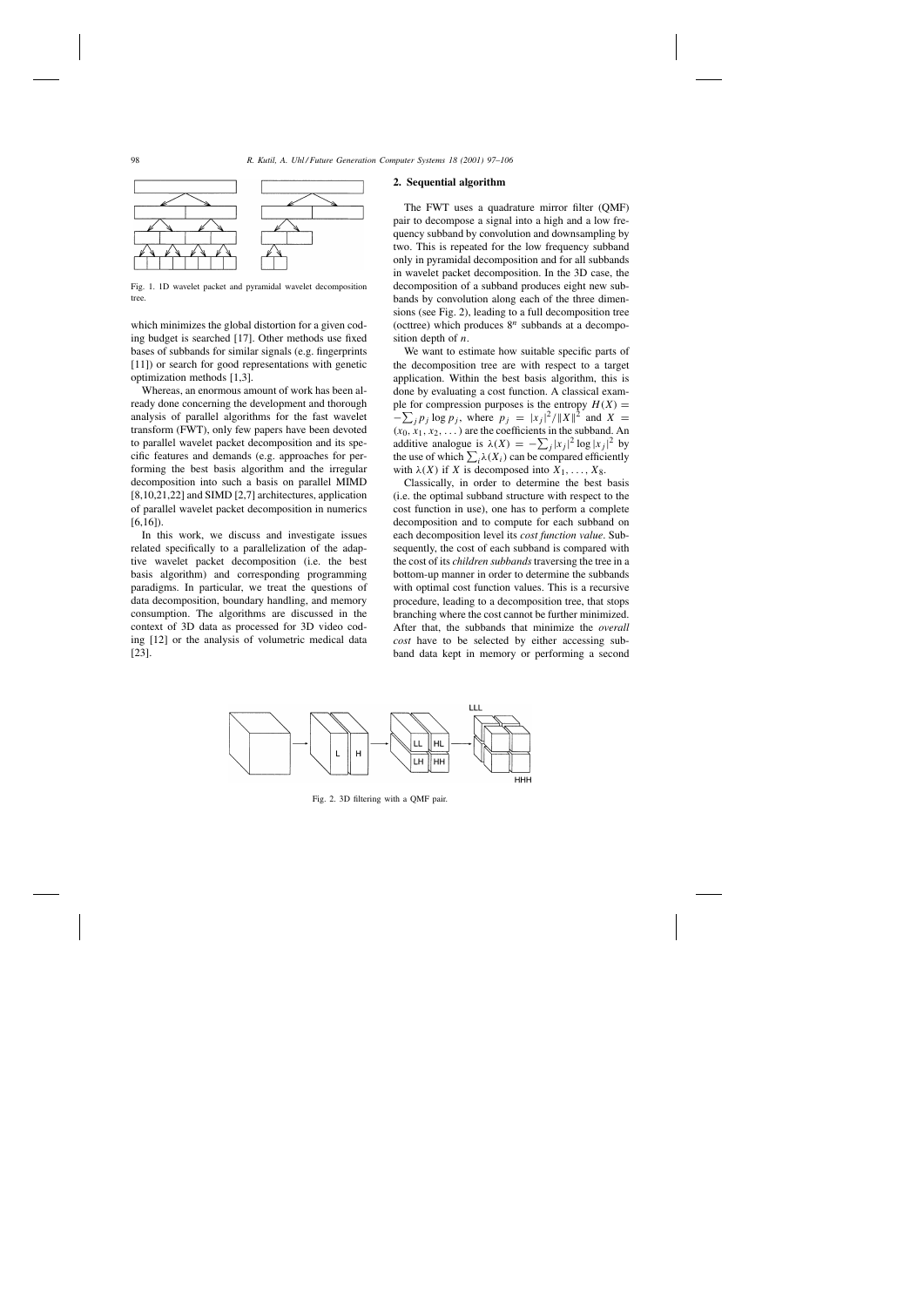

Fig. 1. 1D wavelet packet and pyramidal wavelet decomposition tree.

which minimizes the global distortion for a given coding budget is searched [17]. Other methods use fixed bases of subbands for similar signals (e.g. fingerprints [11]) or search for good representations with genetic optimization methods [1,3].

Whereas, an enormous amount of work has been already done concerning the development and thorough analysis of parallel algorithms for the fast wavelet transform (FWT), only few papers have been devoted to parallel wavelet packet decomposition and its specific features and demands (e.g. approaches for performing the best basis algorithm and the irregular decomposition into such a basis on parallel MIMD [8,10,21,22] and SIMD [2,7] architectures, application of parallel wavelet packet decomposition in numerics [6,16]).

In this work, we discuss and investigate issues related specifically to a parallelization of the adaptive wavelet packet decomposition (i.e. the best basis algorithm) and corresponding programming paradigms. In particular, we treat the questions of data decomposition, boundary handling, and memory consumption. The algorithms are discussed in the context of 3D data as processed for 3D video coding [12] or the analysis of volumetric medical data [23].

#### **2. Sequential algorithm**

The FWT uses a quadrature mirror filter (QMF) pair to decompose a signal into a high and a low frequency subband by convolution and downsampling by two. This is repeated for the low frequency subband only in pyramidal decomposition and for all subbands in wavelet packet decomposition. In the 3D case, the decomposition of a subband produces eight new subbands by convolution along each of the three dimensions (see Fig. 2), leading to a full decomposition tree (octtree) which produces  $8^n$  subbands at a decomposition depth of  $n$ .

We want to estimate how suitable specific parts of the decomposition tree are with respect to a target application. Within the best basis algorithm, this is done by evaluating a cost function. A classical example for compression purposes is the entropy  $H(X) =$  $-\sum_j p_j \log p_j$ , where  $p_j = |x_j|^2 / ||X||^2$  and  $X =$  $(x_0, x_1, x_2,...)$  are the coefficients in the subband. An additive analogue is  $\lambda(X) = -\sum_j |x_j|^2 \log |x_j|^2$  by the use of which  $\sum_i \lambda(X_i)$  can be compared efficiently with  $\lambda(X)$  if X is decomposed into  $X_1, \ldots, X_8$ .

Classically, in order to determine the best basis (i.e. the optimal subband structure with respect to the cost function in use), one has to perform a complete decomposition and to compute for each subband on each decomposition level its *cost function value*. Subsequently, the cost of each subband is compared with the cost of its *children subbands* traversing the tree in a bottom-up manner in order to determine the subbands with optimal cost function values. This is a recursive procedure, leading to a decomposition tree, that stops branching where the cost cannot be further minimized. After that, the subbands that minimize the *overall cost* have to be selected by either accessing subband data kept in memory or performing a second



Fig. 2. 3D filtering with a QMF pair.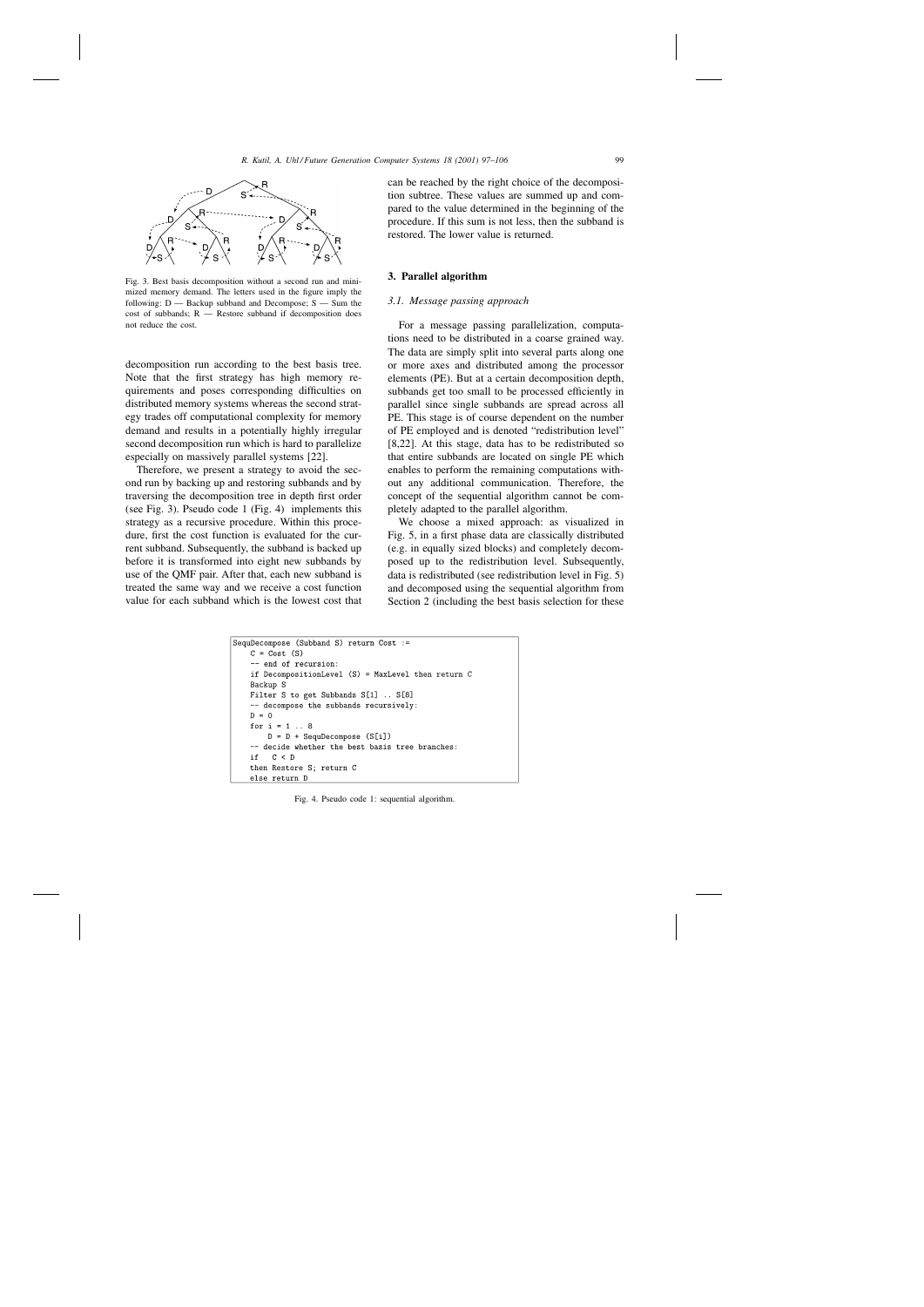

Fig. 3. Best basis decomposition without a second run and minimized memory demand. The letters used in the figure imply the following: D — Backup subband and Decompose; S — Sum the cost of subbands; R — Restore subband if decomposition does not reduce the cost.

decomposition run according to the best basis tree. Note that the first strategy has high memory requirements and poses corresponding difficulties on distributed memory systems whereas the second strategy trades off computational complexity for memory demand and results in a potentially highly irregular second decomposition run which is hard to parallelize especially on massively parallel systems [22].

Therefore, we present a strategy to avoid the second run by backing up and restoring subbands and by traversing the decomposition tree in depth first order (see Fig. 3). Pseudo code 1 (Fig. 4) implements this strategy as a recursive procedure. Within this procedure, first the cost function is evaluated for the current subband. Subsequently, the subband is backed up before it is transformed into eight new subbands by use of the QMF pair. After that, each new subband is treated the same way and we receive a cost function value for each subband which is the lowest cost that can be reached by the right choice of the decomposition subtree. These values are summed up and compared to the value determined in the beginning of the procedure. If this sum is not less, then the subband is restored. The lower value is returned.

#### **3. Parallel algorithm**

#### *3.1. Message passing approach*

For a message passing parallelization, computations need to be distributed in a coarse grained way. The data are simply split into several parts along one or more axes and distributed among the processor elements (PE). But at a certain decomposition depth, subbands get too small to be processed efficiently in parallel since single subbands are spread across all PE. This stage is of course dependent on the number of PE employed and is denoted "redistribution level" [8,22]. At this stage, data has to be redistributed so that entire subbands are located on single PE which enables to perform the remaining computations without any additional communication. Therefore, the concept of the sequential algorithm cannot be completely adapted to the parallel algorithm.

We choose a mixed approach: as visualized in Fig. 5, in a first phase data are classically distributed (e.g. in equally sized blocks) and completely decomposed up to the redistribution level. Subsequently, data is redistributed (see redistribution level in Fig. 5) and decomposed using the sequential algorithm from Section 2 (including the best basis selection for these

```
SequDecompose (Subband S) return Cost :=
   C = Cost(S)-- end of recursion:
   if DecompositionLevel (S) = MaxLevel then return C
   Backup S
   Filter S to get Subbands S[1] .. S[8]
    -- decompose the subbands recursively:
   D = 0for i = 1 ... 8D = D + SequDecompose (S[i])-- decide whether the best basis tree branches:
       C < Dif
   then Restore S; return C
   else return D
```
Fig. 4. Pseudo code 1: sequential algorithm.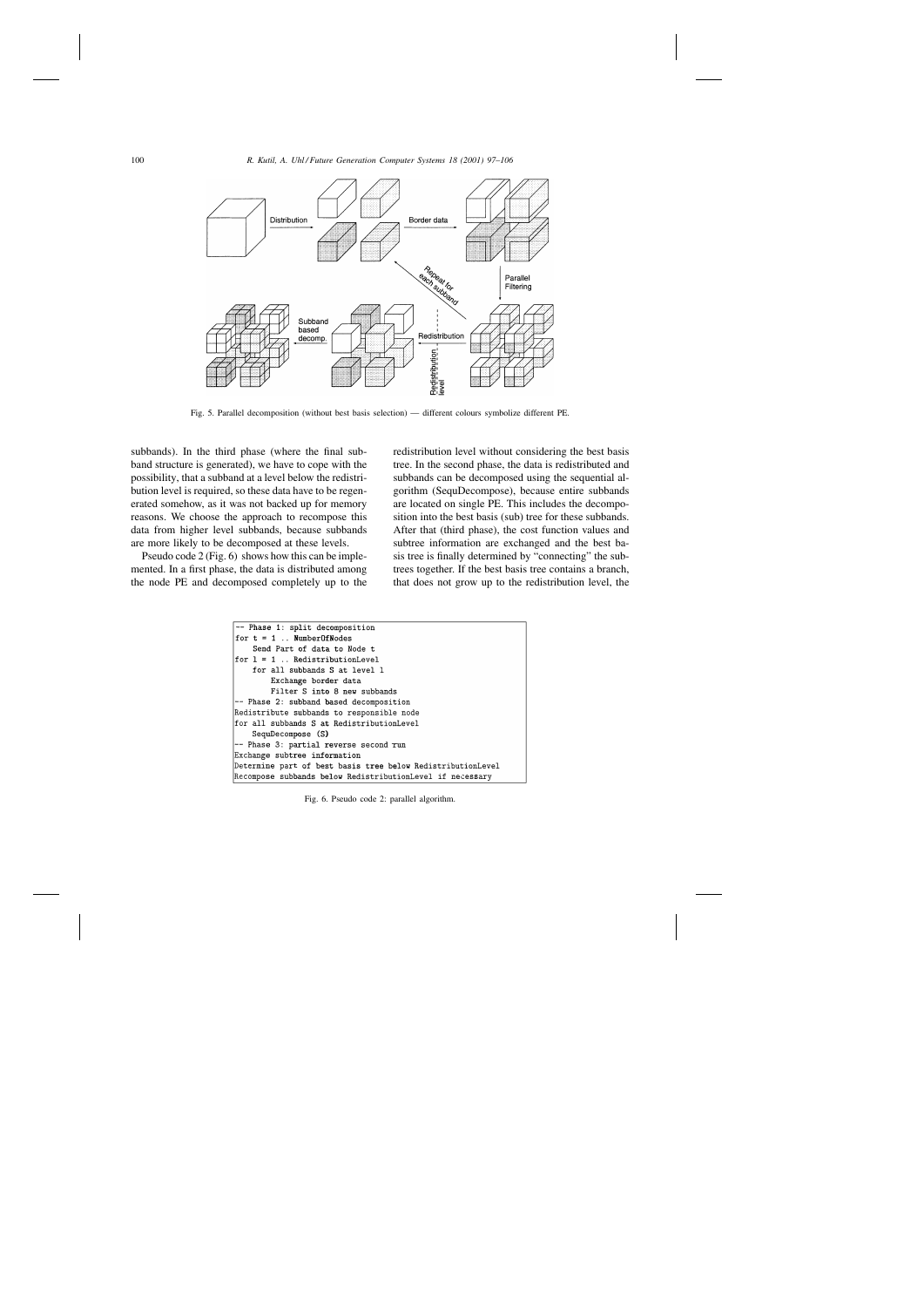

Fig. 5. Parallel decomposition (without best basis selection) — different colours symbolize different PE.

subbands). In the third phase (where the final subband structure is generated), we have to cope with the possibility, that a subband at a level below the redistribution level is required, so these data have to be regenerated somehow, as it was not backed up for memory reasons. We choose the approach to recompose this data from higher level subbands, because subbands are more likely to be decomposed at these levels.

Pseudo code 2 (Fig. 6) shows how this can be implemented. In a first phase, the data is distributed among the node PE and decomposed completely up to the redistribution level without considering the best basis tree. In the second phase, the data is redistributed and subbands can be decomposed using the sequential algorithm (SequDecompose), because entire subbands are located on single PE. This includes the decomposition into the best basis (sub) tree for these subbands. After that (third phase), the cost function values and subtree information are exchanged and the best basis tree is finally determined by "connecting" the subtrees together. If the best basis tree contains a branch, that does not grow up to the redistribution level, the

```
-- Phase 1: split decomposition
for t = 1.. NumberOfNodes
    Send Part of data to Node t
for l = 1... RedistributionLevel
    for all subbands S at level 1
        Exchange border data
        Filter S into 8 new subbands
-- Phase 2: subband based decomposition
Redistribute subbands to responsible node
for all subbands S at RedistributionLevel
    SequDecompose (S)
-- Phase 3: partial reverse second run
Exchange subtree information
Determine part of best basis tree below RedistributionLevel
Recompose subbands below RedistributionLevel if necessary
```
Fig. 6. Pseudo code 2: parallel algorithm.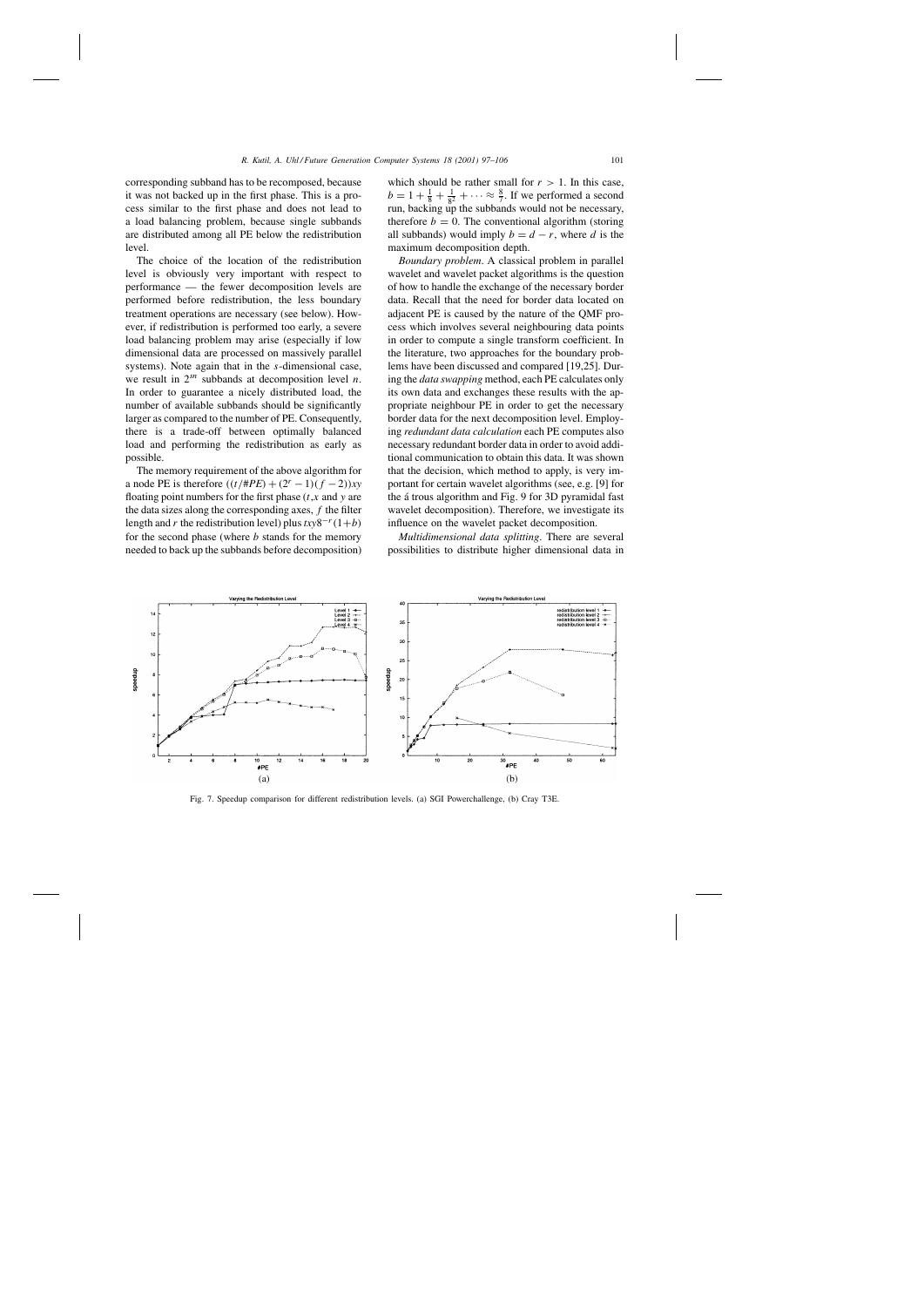corresponding subband has to be recomposed, because it was not backed up in the first phase. This is a process similar to the first phase and does not lead to a load balancing problem, because single subbands are distributed among all PE below the redistribution level.

The choice of the location of the redistribution level is obviously very important with respect to performance — the fewer decomposition levels are performed before redistribution, the less boundary treatment operations are necessary (see below). However, if redistribution is performed too early, a severe load balancing problem may arise (especially if low dimensional data are processed on massively parallel systems). Note again that in the s-dimensional case, we result in  $2^{sn}$  subbands at decomposition level *n*. In order to guarantee a nicely distributed load, the number of available subbands should be significantly larger as compared to the number of PE. Consequently, there is a trade-off between optimally balanced load and performing the redistribution as early as possible.

The memory requirement of the above algorithm for a node PE is therefore  $((t/#PE) + (2^{r} – 1)(f – 2))xy$ floating point numbers for the first phase  $(t, x)$  and y are the data sizes along the corresponding axes,  $f$  the filter length and r the redistribution level) plus  $txy8^{-r}(1+b)$ for the second phase (where  $b$  stands for the memory needed to back up the subbands before decomposition)

which should be rather small for  $r > 1$ . In this case,  $b = 1 + \frac{1}{8} + \frac{1}{8^2} + \cdots \approx \frac{8}{7}$ . If we performed a second run, backing up the subbands would not be necessary, therefore  $b = 0$ . The conventional algorithm (storing all subbands) would imply  $b = d - r$ , where d is the maximum decomposition depth.

*Boundary problem*. A classical problem in parallel wavelet and wavelet packet algorithms is the question of how to handle the exchange of the necessary border data. Recall that the need for border data located on adjacent PE is caused by the nature of the QMF process which involves several neighbouring data points in order to compute a single transform coefficient. In the literature, two approaches for the boundary problems have been discussed and compared [19,25]. During the *data swapping* method, each PE calculates only its own data and exchanges these results with the appropriate neighbour PE in order to get the necessary border data for the next decomposition level. Employing *redundant data calculation* each PE computes also necessary redundant border data in order to avoid additional communication to obtain this data. It was shown that the decision, which method to apply, is very important for certain wavelet algorithms (see, e.g. [9] for the á trous algorithm and Fig. 9 for 3D pyramidal fast wavelet decomposition). Therefore, we investigate its influence on the wavelet packet decomposition.

*Multidimensional data splitting*. There are several possibilities to distribute higher dimensional data in



Fig. 7. Speedup comparison for different redistribution levels. (a) SGI Powerchallenge, (b) Cray T3E.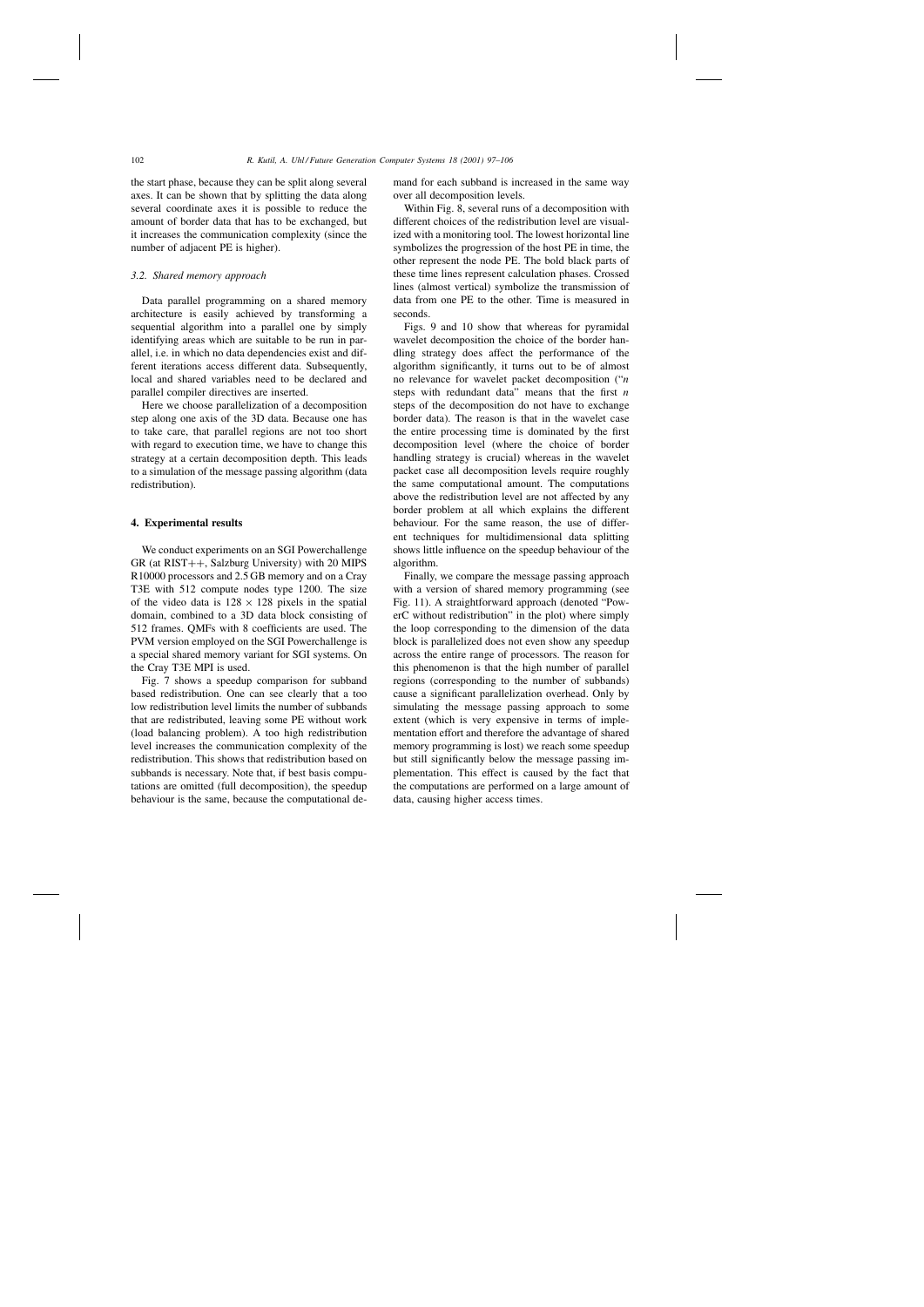the start phase, because they can be split along several axes. It can be shown that by splitting the data along several coordinate axes it is possible to reduce the amount of border data that has to be exchanged, but it increases the communication complexity (since the number of adjacent PE is higher).

## *3.2. Shared memory approach*

Data parallel programming on a shared memory architecture is easily achieved by transforming a sequential algorithm into a parallel one by simply identifying areas which are suitable to be run in parallel, i.e. in which no data dependencies exist and different iterations access different data. Subsequently, local and shared variables need to be declared and parallel compiler directives are inserted.

Here we choose parallelization of a decomposition step along one axis of the 3D data. Because one has to take care, that parallel regions are not too short with regard to execution time, we have to change this strategy at a certain decomposition depth. This leads to a simulation of the message passing algorithm (data redistribution).

#### **4. Experimental results**

We conduct experiments on an SGI Powerchallenge GR (at RIST++, Salzburg University) with 20 MIPS R10000 processors and 2.5 GB memory and on a Cray T3E with 512 compute nodes type 1200. The size of the video data is  $128 \times 128$  pixels in the spatial domain, combined to a 3D data block consisting of 512 frames. QMFs with 8 coefficients are used. The PVM version employed on the SGI Powerchallenge is a special shared memory variant for SGI systems. On the Cray T3E MPI is used.

Fig. 7 shows a speedup comparison for subband based redistribution. One can see clearly that a too low redistribution level limits the number of subbands that are redistributed, leaving some PE without work (load balancing problem). A too high redistribution level increases the communication complexity of the redistribution. This shows that redistribution based on subbands is necessary. Note that, if best basis computations are omitted (full decomposition), the speedup behaviour is the same, because the computational demand for each subband is increased in the same way over all decomposition levels.

Within Fig. 8, several runs of a decomposition with different choices of the redistribution level are visualized with a monitoring tool. The lowest horizontal line symbolizes the progression of the host PE in time, the other represent the node PE. The bold black parts of these time lines represent calculation phases. Crossed lines (almost vertical) symbolize the transmission of data from one PE to the other. Time is measured in seconds.

Figs. 9 and 10 show that whereas for pyramidal wavelet decomposition the choice of the border handling strategy does affect the performance of the algorithm significantly, it turns out to be of almost no relevance for wavelet packet decomposition ("n steps with redundant data" means that the first  $n$ steps of the decomposition do not have to exchange border data). The reason is that in the wavelet case the entire processing time is dominated by the first decomposition level (where the choice of border handling strategy is crucial) whereas in the wavelet packet case all decomposition levels require roughly the same computational amount. The computations above the redistribution level are not affected by any border problem at all which explains the different behaviour. For the same reason, the use of different techniques for multidimensional data splitting shows little influence on the speedup behaviour of the algorithm.

Finally, we compare the message passing approach with a version of shared memory programming (see Fig. 11). A straightforward approach (denoted "PowerC without redistribution" in the plot) where simply the loop corresponding to the dimension of the data block is parallelized does not even show any speedup across the entire range of processors. The reason for this phenomenon is that the high number of parallel regions (corresponding to the number of subbands) cause a significant parallelization overhead. Only by simulating the message passing approach to some extent (which is very expensive in terms of implementation effort and therefore the advantage of shared memory programming is lost) we reach some speedup but still significantly below the message passing implementation. This effect is caused by the fact that the computations are performed on a large amount of data, causing higher access times.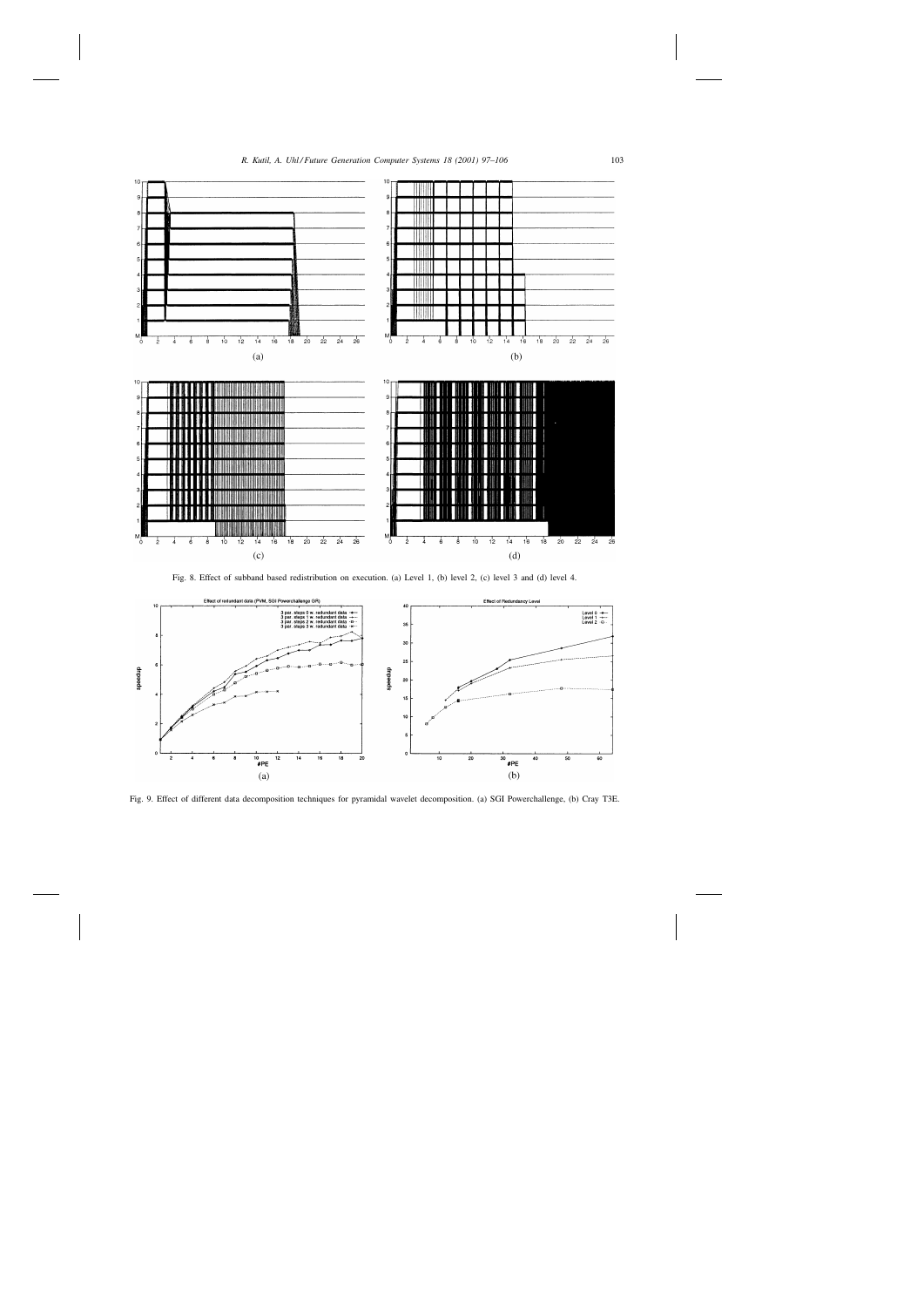

Fig. 8. Effect of subband based redistribution on execution. (a) Level 1, (b) level 2, (c) level 3 and (d) level 4.



Fig. 9. Effect of different data decomposition techniques for pyramidal wavelet decomposition. (a) SGI Powerchallenge, (b) Cray T3E.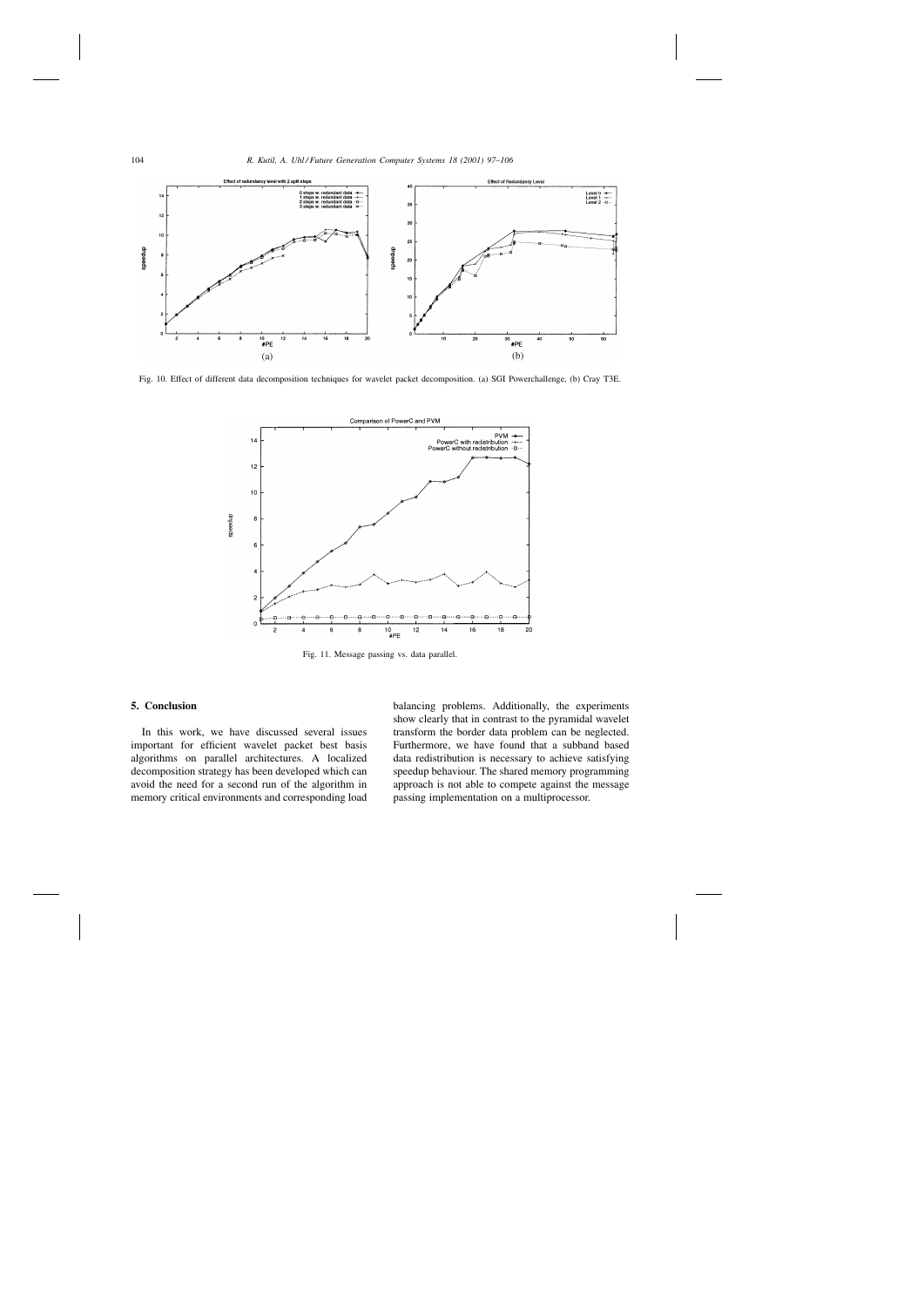

Fig. 10. Effect of different data decomposition techniques for wavelet packet decomposition. (a) SGI Powerchallenge, (b) Cray T3E.



Fig. 11. Message passing vs. data parallel.

# **5. Conclusion**

In this work, we have discussed several issues important for efficient wavelet packet best basis algorithms on parallel architectures. A localized decomposition strategy has been developed which can avoid the need for a second run of the algorithm in memory critical environments and corresponding load balancing problems. Additionally, the experiments show clearly that in contrast to the pyramidal wavelet transform the border data problem can be neglected. Furthermore, we have found that a subband based data redistribution is necessary to achieve satisfying speedup behaviour. The shared memory programming approach is not able to compete against the message passing implementation on a multiprocessor.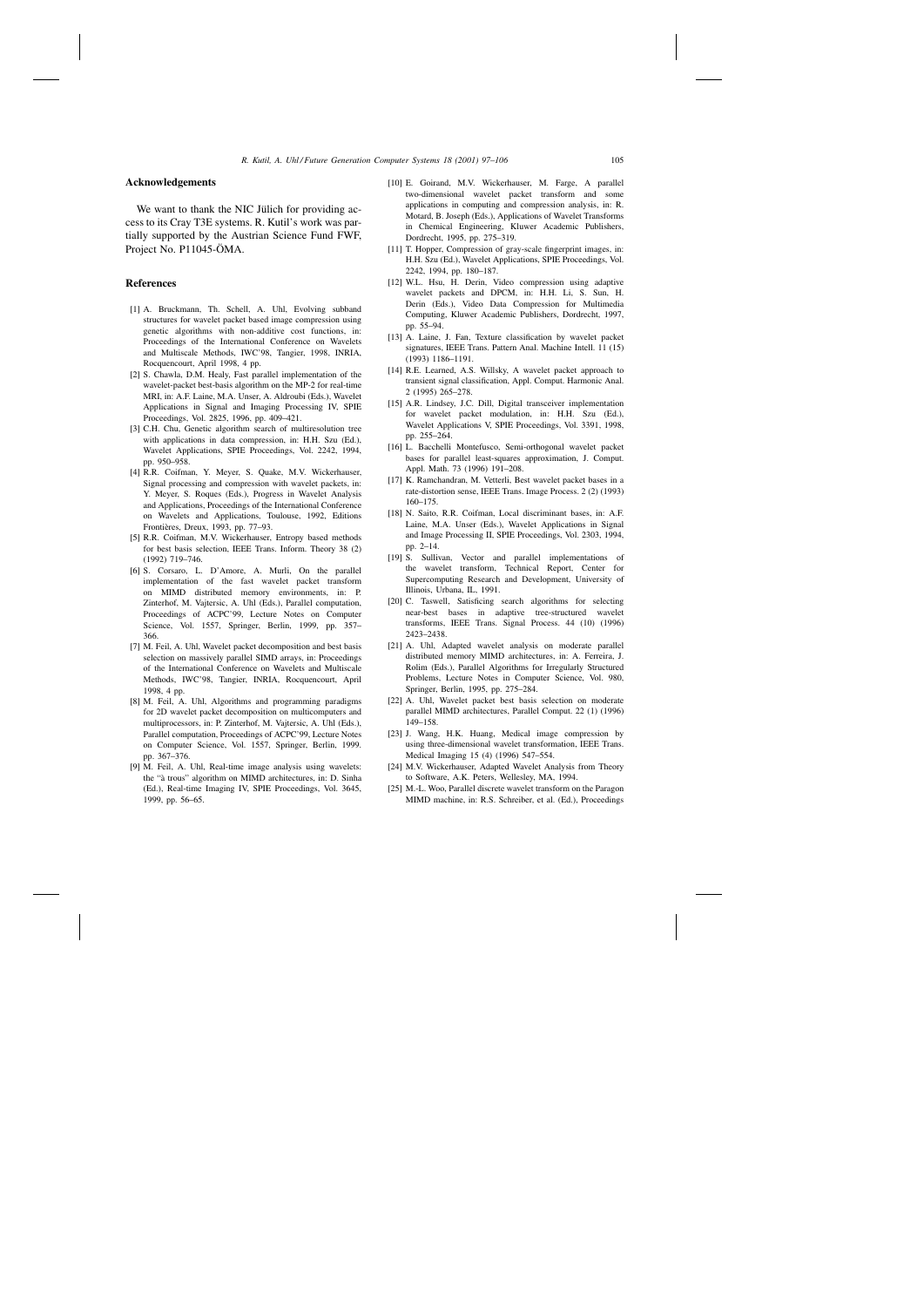## **Acknowledgements**

We want to thank the NIC Jülich for providing access to its Cray T3E systems. R. Kutil's work was partially supported by the Austrian Science Fund FWF, Project No. P11045-ÖMA.

# **References**

- [1] A. Bruckmann, Th. Schell, A. Uhl, Evolving subband structures for wavelet packet based image compression using genetic algorithms with non-additive cost functions, in: Proceedings of the International Conference on Wavelets and Multiscale Methods, IWC'98, Tangier, 1998, INRIA, Rocquencourt, April 1998, 4 pp.
- [2] S. Chawla, D.M. Healy, Fast parallel implementation of the wavelet-packet best-basis algorithm on the MP-2 for real-time MRI, in: A.F. Laine, M.A. Unser, A. Aldroubi (Eds.), Wavelet Applications in Signal and Imaging Processing IV, SPIE Proceedings, Vol. 2825, 1996, pp. 409–421.
- [3] C.H. Chu, Genetic algorithm search of multiresolution tree with applications in data compression, in: H.H. Szu (Ed.), Wavelet Applications, SPIE Proceedings, Vol. 2242, 1994, pp. 950–958.
- [4] R.R. Coifman, Y. Meyer, S. Quake, M.V. Wickerhauser, Signal processing and compression with wavelet packets, in: Y. Meyer, S. Roques (Eds.), Progress in Wavelet Analysis and Applications, Proceedings of the International Conference on Wavelets and Applications, Toulouse, 1992, Editions Frontières, Dreux, 1993, pp. 77–93.
- [5] R.R. Coifman, M.V. Wickerhauser, Entropy based methods for best basis selection, IEEE Trans. Inform. Theory 38 (2) (1992) 719–746.
- [6] S. Corsaro, L. D'Amore, A. Murli, On the parallel implementation of the fast wavelet packet transform on MIMD distributed memory environments, in: P. Zinterhof, M. Vajtersic, A. Uhl (Eds.), Parallel computation, Proceedings of ACPC'99, Lecture Notes on Computer Science, Vol. 1557, Springer, Berlin, 1999, pp. 357– 366.
- [7] M. Feil, A. Uhl, Wavelet packet decomposition and best basis selection on massively parallel SIMD arrays, in: Proceedings of the International Conference on Wavelets and Multiscale Methods, IWC'98, Tangier, INRIA, Rocquencourt, April 1998, 4 pp.
- [8] M. Feil, A. Uhl, Algorithms and programming paradigms for 2D wavelet packet decomposition on multicomputers and multiprocessors, in: P. Zinterhof, M. Vajtersic, A. Uhl (Eds.), Parallel computation, Proceedings of ACPC'99, Lecture Notes on Computer Science, Vol. 1557, Springer, Berlin, 1999. pp. 367–376.
- [9] M. Feil, A. Uhl, Real-time image analysis using wavelets: the "à trous" algorithm on MIMD architectures, in: D. Sinha (Ed.), Real-time Imaging IV, SPIE Proceedings, Vol. 3645, 1999, pp. 56–65.
- [10] E. Goirand, M.V. Wickerhauser, M. Farge, A parallel two-dimensional wavelet packet transform and some applications in computing and compression analysis, in: R. Motard, B. Joseph (Eds.), Applications of Wavelet Transforms in Chemical Engineering, Kluwer Academic Publishers, Dordrecht, 1995, pp. 275–319.
- [11] T. Hopper, Compression of gray-scale fingerprint images, in: H.H. Szu (Ed.), Wavelet Applications, SPIE Proceedings, Vol. 2242, 1994, pp. 180–187.
- [12] W.L. Hsu, H. Derin, Video compression using adaptive wavelet packets and DPCM, in: H.H. Li, S. Sun, H. Derin (Eds.), Video Data Compression for Multimedia Computing, Kluwer Academic Publishers, Dordrecht, 1997, pp. 55–94.
- [13] A. Laine, J. Fan, Texture classification by wavelet packet signatures, IEEE Trans. Pattern Anal. Machine Intell. 11 (15) (1993) 1186–1191.
- [14] R.E. Learned, A.S. Willsky, A wavelet packet approach to transient signal classification, Appl. Comput. Harmonic Anal. 2 (1995) 265–278.
- [15] A.R. Lindsey, J.C. Dill, Digital transceiver implementation for wavelet packet modulation, in: H.H. Szu (Ed.), Wavelet Applications V, SPIE Proceedings, Vol. 3391, 1998, pp. 255–264.
- [16] L. Bacchelli Montefusco, Semi-orthogonal wavelet packet bases for parallel least-squares approximation, J. Comput. Appl. Math. 73 (1996) 191–208.
- [17] K. Ramchandran, M. Vetterli, Best wavelet packet bases in a rate-distortion sense, IEEE Trans. Image Process. 2 (2) (1993) 160–175.
- [18] N. Saito, R.R. Coifman, Local discriminant bases, in: A.F. Laine, M.A. Unser (Eds.), Wavelet Applications in Signal and Image Processing II, SPIE Proceedings, Vol. 2303, 1994, pp. 2–14.
- [19] S. Sullivan, Vector and parallel implementations of the wavelet transform, Technical Report, Center for Supercomputing Research and Development, University of Illinois, Urbana, IL, 1991.
- [20] C. Taswell, Satisficing search algorithms for selecting near-best bases in adaptive tree-structured wavelet transforms, IEEE Trans. Signal Process. 44 (10) (1996) 2423–2438.
- [21] A. Uhl, Adapted wavelet analysis on moderate parallel distributed memory MIMD architectures, in: A. Ferreira, J. Rolim (Eds.), Parallel Algorithms for Irregularly Structured Problems, Lecture Notes in Computer Science, Vol. 980, Springer, Berlin, 1995, pp. 275–284.
- [22] A. Uhl, Wavelet packet best basis selection on moderate parallel MIMD architectures, Parallel Comput. 22 (1) (1996) 149–158.
- [23] J. Wang, H.K. Huang, Medical image compression by using three-dimensional wavelet transformation, IEEE Trans. Medical Imaging 15 (4) (1996) 547–554.
- [24] M.V. Wickerhauser, Adapted Wavelet Analysis from Theory to Software, A.K. Peters, Wellesley, MA, 1994.
- [25] M.-L. Woo, Parallel discrete wavelet transform on the Paragon MIMD machine, in: R.S. Schreiber, et al. (Ed.), Proceedings